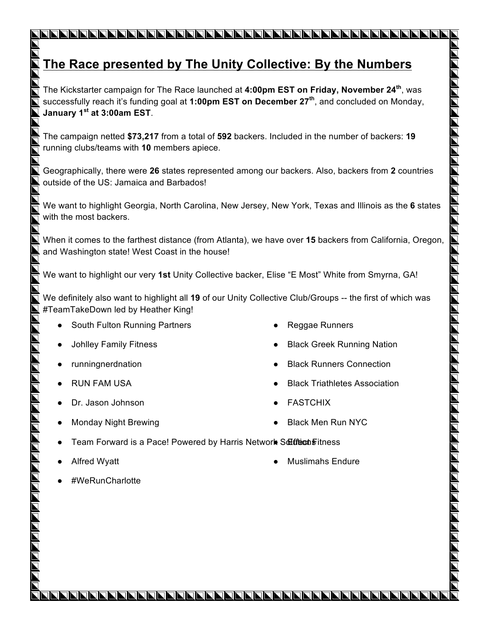## **The Race presented by The Unity Collective: By the Numbers**

The Kickstarter campaign for The Race launched at **4:00pm EST on Friday, November 24th**, was successfully reach it's funding goal at **1:00pm EST on December 27th**, and concluded on Monday, **January 1st at 3:00am EST**.

The campaign netted **\$73,217** from a total of **592** backers. Included in the number of backers: **19** running clubs/teams with **10** members apiece.

Geographically, there were **26** states represented among our backers. Also, backers from **2** countries outside of the US: Jamaica and Barbados!

We want to highlight Georgia, North Carolina, New Jersey, New York, Texas and Illinois as the **6** states with the most backers.

When it comes to the farthest distance (from Atlanta), we have over **15** backers from California, Oregon, and Washington state! West Coast in the house!

We want to highlight our very **1st** Unity Collective backer, Elise "E Most" White from Smyrna, GA!

We definitely also want to highlight all **19** of our Unity Collective Club/Groups -- the first of which was #TeamTakeDown led by Heather King!

- South Fulton Running Partners
- Johlley Family Fitness
- runningnerdnation
- RUN FAM USA
- Dr. Jason Johnson
- Monday Night Brewing
- Reggae Runners
- **Black Greek Running Nation**
- **Black Runners Connection**
- **Black Triathletes Association**
- **FASTCHIX**
- **Black Men Run NYC**
- Team Forward is a Pace! Powered by Harris Network Sdiffect fitness
- Alfred Wyatt

INNA AN AN AN AN AN AN AN AN A

**Muslimahs Endure** 

● #WeRunCharlotte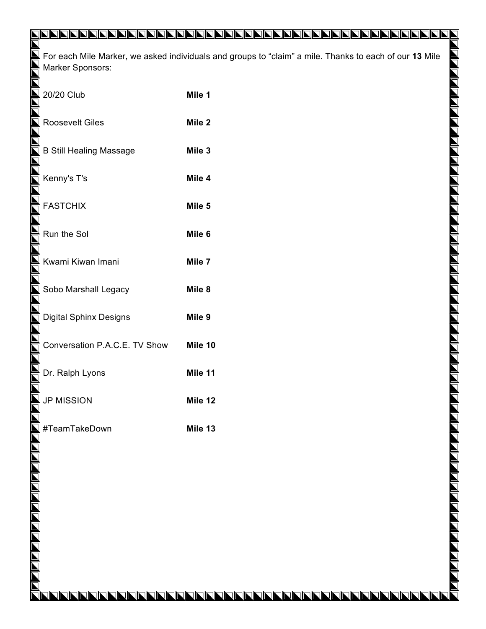## N FIFIFIFIFIFIF

For each Mile Marker, we asked individuals and groups to "claim" a mile. Thanks to each of our **13** Mile Marker Sponsors:

| 20/20 Club                     | Mile 1            |
|--------------------------------|-------------------|
| <b>Roosevelt Giles</b>         | Mile <sub>2</sub> |
| <b>B Still Healing Massage</b> | Mile <sub>3</sub> |
| Kenny's T's                    | Mile 4            |
| <b>FASTCHIX</b>                | Mile <sub>5</sub> |
| Run the Sol                    | Mile <sub>6</sub> |
| Kwami Kiwan Imani              | Mile <sub>7</sub> |
| Sobo Marshall Legacy           | Mile <sub>8</sub> |
| <b>Digital Sphinx Designs</b>  | Mile <sub>9</sub> |
| Conversation P.A.C.E. TV Show  | Mile 10           |
| Dr. Ralph Lyons                | Mile 11           |
| <b>JP MISSION</b>              | Mile 12           |
| #TeamTakeDown                  | Mile 13           |

Ē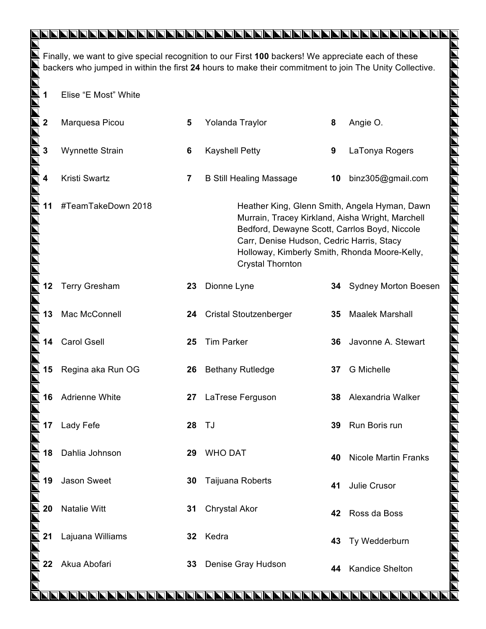|                                                                                                                                                                                                              |                                                                                                                                                                                                                                                                                                   |                | IN A FARA A FARA A FARA A FARA A FARA I |    |                             |  |  |
|--------------------------------------------------------------------------------------------------------------------------------------------------------------------------------------------------------------|---------------------------------------------------------------------------------------------------------------------------------------------------------------------------------------------------------------------------------------------------------------------------------------------------|----------------|-----------------------------------------|----|-----------------------------|--|--|
| Finally, we want to give special recognition to our First 100 backers! We appreciate each of these<br>backers who jumped in within the first 24 hours to make their commitment to join The Unity Collective. |                                                                                                                                                                                                                                                                                                   |                |                                         |    |                             |  |  |
| 1                                                                                                                                                                                                            | Elise "E Most" White                                                                                                                                                                                                                                                                              |                |                                         |    |                             |  |  |
| $\mathbf 2$                                                                                                                                                                                                  | Marquesa Picou                                                                                                                                                                                                                                                                                    | 5              | Yolanda Traylor                         | 8  | Angie O.                    |  |  |
| 3                                                                                                                                                                                                            | Wynnette Strain                                                                                                                                                                                                                                                                                   | 6              | <b>Kayshell Petty</b>                   | 9  | LaTonya Rogers              |  |  |
| 4                                                                                                                                                                                                            | Kristi Swartz                                                                                                                                                                                                                                                                                     | $\overline{7}$ | <b>B Still Healing Massage</b>          | 10 | binz305@gmail.com           |  |  |
| 11                                                                                                                                                                                                           | #TeamTakeDown 2018<br>Heather King, Glenn Smith, Angela Hyman, Dawn<br>Murrain, Tracey Kirkland, Aisha Wright, Marchell<br>Bedford, Dewayne Scott, Carrlos Boyd, Niccole<br>Carr, Denise Hudson, Cedric Harris, Stacy<br>Holloway, Kimberly Smith, Rhonda Moore-Kelly,<br><b>Crystal Thornton</b> |                |                                         |    |                             |  |  |
| 12                                                                                                                                                                                                           | <b>Terry Gresham</b>                                                                                                                                                                                                                                                                              | 23             | Dionne Lyne                             | 34 | Sydney Morton Boesen        |  |  |
| 13                                                                                                                                                                                                           | Mac McConnell                                                                                                                                                                                                                                                                                     | 24             | <b>Cristal Stoutzenberger</b>           | 35 | <b>Maalek Marshall</b>      |  |  |
| 14                                                                                                                                                                                                           | <b>Carol Gsell</b>                                                                                                                                                                                                                                                                                | 25             | <b>Tim Parker</b>                       | 36 | Javonne A. Stewart          |  |  |
| 15                                                                                                                                                                                                           | Regina aka Run OG                                                                                                                                                                                                                                                                                 | 26             | <b>Bethany Rutledge</b>                 | 37 | <b>G</b> Michelle           |  |  |
| 16                                                                                                                                                                                                           | Adrienne White                                                                                                                                                                                                                                                                                    | 27             | LaTrese Ferguson                        | 38 | Alexandria Walker           |  |  |
| 17                                                                                                                                                                                                           | Lady Fefe                                                                                                                                                                                                                                                                                         | 28             | TJ                                      | 39 | Run Boris run               |  |  |
| $\overline{\phantom{0}}$<br>18                                                                                                                                                                               | Dahlia Johnson                                                                                                                                                                                                                                                                                    | 29             | <b>WHO DAT</b>                          | 40 | <b>Nicole Martin Franks</b> |  |  |
| 19                                                                                                                                                                                                           | Jason Sweet                                                                                                                                                                                                                                                                                       | 30             | Taijuana Roberts                        | 41 | Julie Crusor                |  |  |
| 20                                                                                                                                                                                                           | <b>Natalie Witt</b>                                                                                                                                                                                                                                                                               | 31             | <b>Chrystal Akor</b>                    | 42 | Ross da Boss                |  |  |
| 21                                                                                                                                                                                                           | Lajuana Williams                                                                                                                                                                                                                                                                                  | 32             | Kedra                                   | 43 | Ty Wedderburn               |  |  |
| 22                                                                                                                                                                                                           | Akua Abofari                                                                                                                                                                                                                                                                                      | 33             | Denise Gray Hudson                      | 44 | <b>Kandice Shelton</b>      |  |  |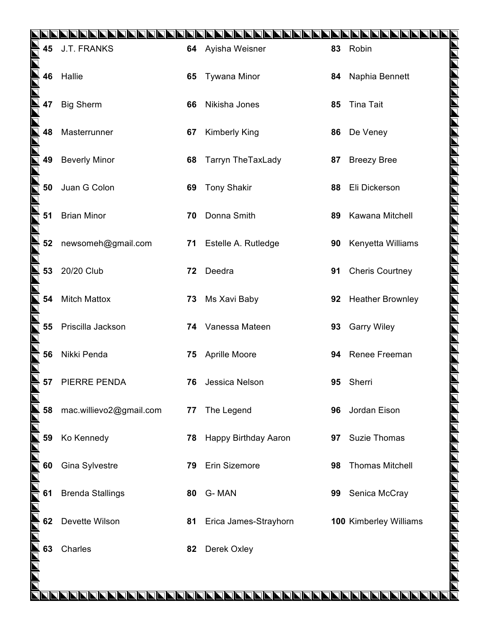|     |    |                         |    |                       |    | NNNNNNNK               |
|-----|----|-------------------------|----|-----------------------|----|------------------------|
|     | 45 | <b>J.T. FRANKS</b>      |    | 64 Ayisha Weisner     | 83 | Robin                  |
|     | 46 | Hallie                  | 65 | <b>Tywana Minor</b>   | 84 | Naphia Bennett         |
|     | 47 | <b>Big Sherm</b>        | 66 | Nikisha Jones         | 85 | Tina Tait              |
|     | 48 | Masterrunner            | 67 | <b>Kimberly King</b>  | 86 | De Veney               |
|     | 49 | <b>Beverly Minor</b>    | 68 | Tarryn TheTaxLady     | 87 | <b>Breezy Bree</b>     |
|     | 50 | Juan G Colon            | 69 | <b>Tony Shakir</b>    | 88 | Eli Dickerson          |
|     | 51 | <b>Brian Minor</b>      | 70 | Donna Smith           | 89 | Kawana Mitchell        |
|     | 52 | newsomeh@gmail.com      | 71 | Estelle A. Rutledge   | 90 | Kenyetta Williams      |
|     | 53 | 20/20 Club              | 72 | Deedra                | 91 | <b>Cheris Courtney</b> |
|     | 54 | <b>Mitch Mattox</b>     | 73 | Ms Xavi Baby          |    | 92 Heather Brownley    |
| NNK | 55 | Priscilla Jackson       |    | 74 Vanessa Mateen     |    | 93 Garry Wiley         |
|     | 56 | Nikki Penda             |    | 75 Aprille Moore      | 94 | Renee Freeman          |
|     | 57 | <b>PIERRE PENDA</b>     |    | 76 Jessica Nelson     |    | 95 Sherri              |
|     | 58 | mac.willievo2@gmail.com | 77 | The Legend            | 96 | Jordan Eison           |
|     | 59 | Ko Kennedy              | 78 | Happy Birthday Aaron  | 97 | Suzie Thomas           |
|     | 60 | Gina Sylvestre          | 79 | Erin Sizemore         | 98 | <b>Thomas Mitchell</b> |
|     | 61 | <b>Brenda Stallings</b> | 80 | G-MAN                 | 99 | Senica McCray          |
|     | 62 | Devette Wilson          | 81 | Erica James-Strayhorn |    | 100 Kimberley Williams |
|     | 63 | Charles                 | 82 | Derek Oxley           |    |                        |
|     |    |                         |    |                       |    |                        |
|     |    |                         |    |                       |    |                        |